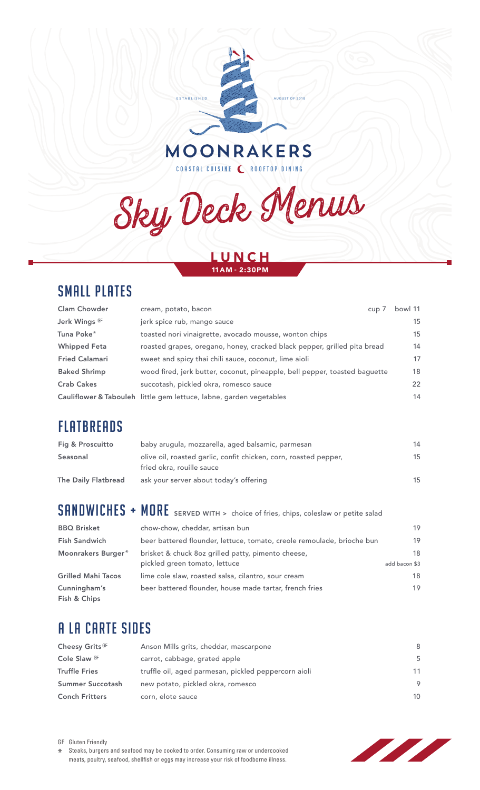

Sky Deck Menus

### LUNCH 11AM - 2:30PM

# SMALL PLATES

| <b>Clam Chowder</b>   | cream, potato, bacon<br>$cup$ /                                            | bowl 11 |
|-----------------------|----------------------------------------------------------------------------|---------|
| Jerk Wings GF         | jerk spice rub, mango sauce                                                | 15      |
| Tuna Poke*            | toasted nori vinaigrette, avocado mousse, wonton chips                     | 15      |
| <b>Whipped Feta</b>   | roasted grapes, oregano, honey, cracked black pepper, grilled pita bread   | 14      |
| <b>Fried Calamari</b> | sweet and spicy thai chili sauce, coconut, lime aioli                      | 17      |
| <b>Baked Shrimp</b>   | wood fired, jerk butter, coconut, pineapple, bell pepper, toasted baguette | 18      |
| <b>Crab Cakes</b>     | succotash, pickled okra, romesco sauce                                     | 22      |
|                       | Cauliflower & Tabouleh little gem lettuce, labne, garden vegetables        | 14      |

# **FLATBREADS**

| Fig & Proscuitto    | baby arugula, mozzarella, aged balsamic, parmesan                                             | 14 |
|---------------------|-----------------------------------------------------------------------------------------------|----|
| Seasonal            | olive oil, roasted garlic, confit chicken, corn, roasted pepper,<br>fried okra, rouille sauce | 15 |
| The Daily Flatbread | ask your server about today's offering                                                        | 15 |

SANDWICHES + MORE SERVED WITH > choice of fries, chips, coleslaw or petite salad

| <b>BBQ Brisket</b>           | chow-chow, cheddar, artisan bun                                        | 19            |
|------------------------------|------------------------------------------------------------------------|---------------|
| <b>Fish Sandwich</b>         | beer battered flounder, lettuce, tomato, creole remoulade, brioche bun | 19            |
| Moonrakers Burger*           | brisket & chuck 8oz grilled patty, pimento cheese,                     | 18            |
|                              | pickled green tomato, lettuce                                          | add bacon \$3 |
| <b>Grilled Mahi Tacos</b>    | lime cole slaw, roasted salsa, cilantro, sour cream                    | 18            |
| Cunningham's<br>Fish & Chips | beer battered flounder, house made tartar, french fries                | 19            |

# A LA CARTE SIDES

| Cheesy Grits GF       | Anson Mills grits, cheddar, mascarpone               | 8  |
|-----------------------|------------------------------------------------------|----|
| Cole Slaw GF          | carrot, cabbage, grated apple                        | .5 |
| Truffle Fries         | truffle oil, aged parmesan, pickled peppercorn aioli | 11 |
| Summer Succotash      | new potato, pickled okra, romesco                    | 9  |
| <b>Conch Fritters</b> | corn, elote sauce                                    | 10 |



\* Steaks, burgers and seafood may be cooked to order. Consuming raw or undercooked meats, poultry, seafood, shellfish or eggs may increase your risk of foodborne illness.

GF Gluten Friendly